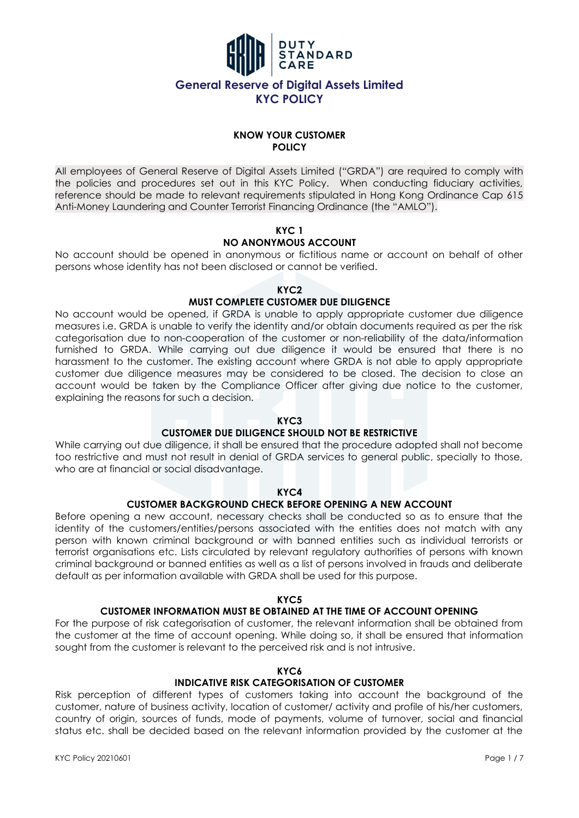

### **KNOW YOUR CUSTOMER POLICY**

All employees of General Reserve of Digital Assets Limited ("GRDA") are required to comply with the policies and procedures set out in this KYC Policy. When conducting fiduciary activities, reference should be made to relevant requirements stipulated in Hong Kong Ordinance Cap 615 Anti-Money Laundering and Counter Terrorist Financing Ordinance (the "AMLO").

## **KYC 1**

## **NO ANONYMOUS ACCOUNT**

No account should be opened in anonymous or fictitious name or account on behalf of other persons whose identity has not been disclosed or cannot be verified.

### **KYC2**

## **MUST COMPLETE CUSTOMER DUE DILIGENCE**

No account would be opened, if GRDA is unable to apply appropriate customer due diligence measures i.e. GRDA is unable to verify the identity and/or obtain documents required as per the risk categorisation due to non-cooperation of the customer or non-reliability of the data/information furnished to GRDA. While carrying out due diligence it would be ensured that there is no harassment to the customer. The existing account where GRDA is not able to apply appropriate customer due diligence measures may be considered to be closed. The decision to close an account would be taken by the Compliance Officer after giving due notice to the customer, explaining the reasons for such a decision.

## **KYC3**

## **CUSTOMER DUE DILIGENCE SHOULD NOT BE RESTRICTIVE**

While carrying out due diligence, it shall be ensured that the procedure adopted shall not become too restrictive and must not result in denial of GRDA services to general public, specially to those, who are at financial or social disadvantage.

### **KYC4**

## **CUSTOMER BACKGROUND CHECK BEFORE OPENING A NEW ACCOUNT**

Before opening a new account, necessary checks shall be conducted so as to ensure that the identity of the customers/entities/persons associated with the entities does not match with any person with known criminal background or with banned entities such as individual terrorists or terrorist organisations etc. Lists circulated by relevant regulatory authorities of persons with known criminal background or banned entities as well as a list of persons involved in frauds and deliberate default as per information available with GRDA shall be used for this purpose.

### **KYC5**

## **CUSTOMER INFORMATION MUST BE OBTAINED AT THE TIME OF ACCOUNT OPENING**

For the purpose of risk categorisation of customer, the relevant information shall be obtained from the customer at the time of account opening. While doing so, it shall be ensured that information sought from the customer is relevant to the perceived risk and is not intrusive.

### **KYC6**

## **INDICATIVE RISK CATEGORISATION OF CUSTOMER**

Risk perception of different types of customers taking into account the background of the customer, nature of business activity, location of customer/ activity and profile of his/her customers, country of origin, sources of funds, mode of payments, volume of turnover, social and financial status etc. shall be decided based on the relevant information provided by the customer at the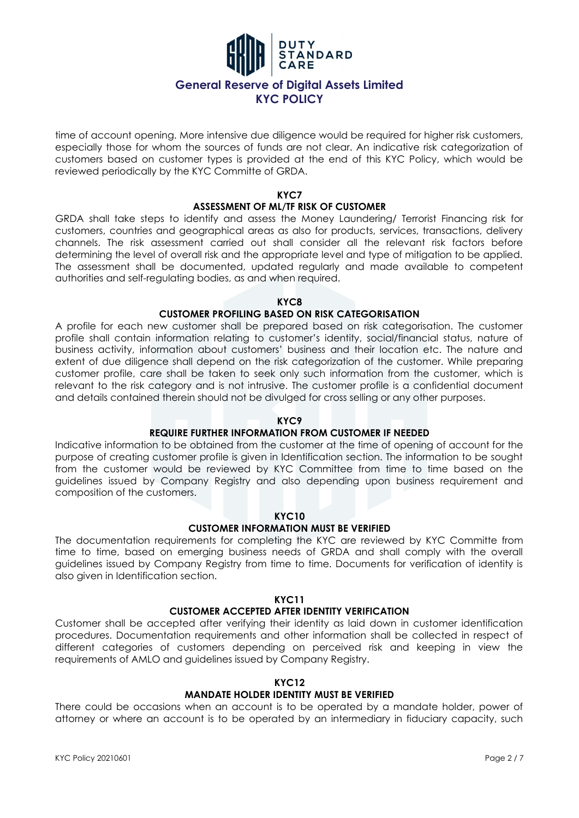

time of account opening. More intensive due diligence would be required for higher risk customers, especially those for whom the sources of funds are not clear. An indicative risk categorization of customers based on customer types is provided at the end of this KYC Policy, which would be reviewed periodically by the KYC Committe of GRDA.

### **KYC7**

### **ASSESSMENT OF ML/TF RISK OF CUSTOMER**

GRDA shall take steps to identify and assess the Money Laundering/ Terrorist Financing risk for customers, countries and geographical areas as also for products, services, transactions, delivery channels. The risk assessment carried out shall consider all the relevant risk factors before determining the level of overall risk and the appropriate level and type of mitigation to be applied. The assessment shall be documented, updated regularly and made available to competent authorities and self-regulating bodies, as and when required.

### **KYC8**

#### **CUSTOMER PROFILING BASED ON RISK CATEGORISATION**

A profile for each new customer shall be prepared based on risk categorisation. The customer profile shall contain information relating to customer's identity, social/financial status, nature of business activity, information about customers' business and their location etc. The nature and extent of due diligence shall depend on the risk categorization of the customer. While preparing customer profile, care shall be taken to seek only such information from the customer, which is relevant to the risk category and is not intrusive. The customer profile is a confidential document and details contained therein should not be divulged for cross selling or any other purposes.

### **KYC9**

### **REQUIRE FURTHER INFORMATION FROM CUSTOMER IF NEEDED**

Indicative information to be obtained from the customer at the time of opening of account for the purpose of creating customer profile is given in Identification section. The information to be sought from the customer would be reviewed by KYC Committee from time to time based on the guidelines issued by Company Registry and also depending upon business requirement and composition of the customers.

### **KYC10**

### **CUSTOMER INFORMATION MUST BE VERIFIED**

The documentation requirements for completing the KYC are reviewed by KYC Committe from time to time, based on emerging business needs of GRDA and shall comply with the overall guidelines issued by Company Registry from time to time. Documents for verification of identity is also given in Identification section.

#### **KYC11**

### **CUSTOMER ACCEPTED AFTER IDENTITY VERIFICATION**

Customer shall be accepted after verifying their identity as laid down in customer identification procedures. Documentation requirements and other information shall be collected in respect of different categories of customers depending on perceived risk and keeping in view the requirements of AMLO and guidelines issued by Company Registry.

## **KYC12**

## **MANDATE HOLDER IDENTITY MUST BE VERIFIED**

There could be occasions when an account is to be operated by a mandate holder, power of attorney or where an account is to be operated by an intermediary in fiduciary capacity, such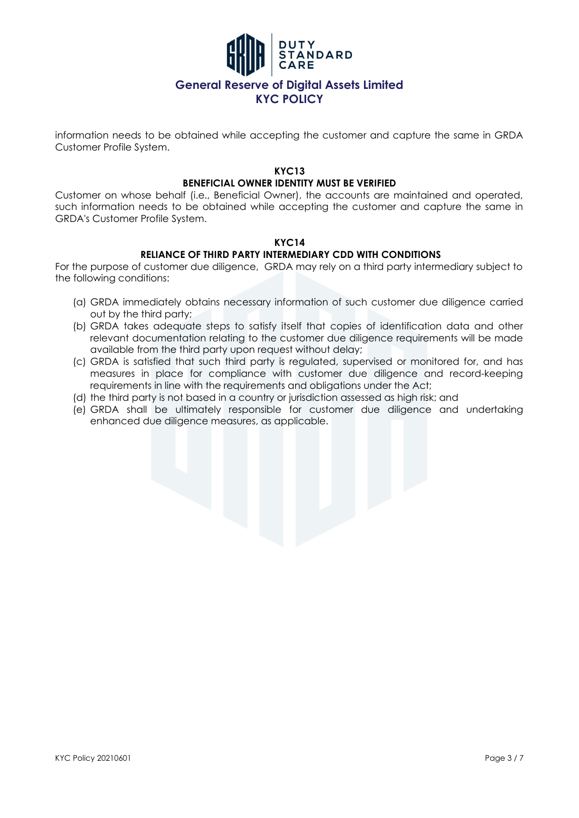

information needs to be obtained while accepting the customer and capture the same in GRDA Customer Profile System.

### **KYC13 BENEFICIAL OWNER IDENTITY MUST BE VERIFIED**

Customer on whose behalf (i.e., Beneficial Owner), the accounts are maintained and operated, such information needs to be obtained while accepting the customer and capture the same in GRDA's Customer Profile System.

### **KYC14**

## **RELIANCE OF THIRD PARTY INTERMEDIARY CDD WITH CONDITIONS**

For the purpose of customer due diligence, GRDA may rely on a third party intermediary subject to the following conditions:

- (a) GRDA immediately obtains necessary information of such customer due diligence carried out by the third party;
- (b) GRDA takes adequate steps to satisfy itself that copies of identification data and other relevant documentation relating to the customer due diligence requirements will be made available from the third party upon request without delay;
- (c) GRDA is satisfied that such third party is regulated, supervised or monitored for, and has measures in place for compliance with customer due diligence and record-keeping requirements in line with the requirements and obligations under the Act;
- (d) the third party is not based in a country or jurisdiction assessed as high risk; and
- (e) GRDA shall be ultimately responsible for customer due diligence and undertaking enhanced due diligence measures, as applicable.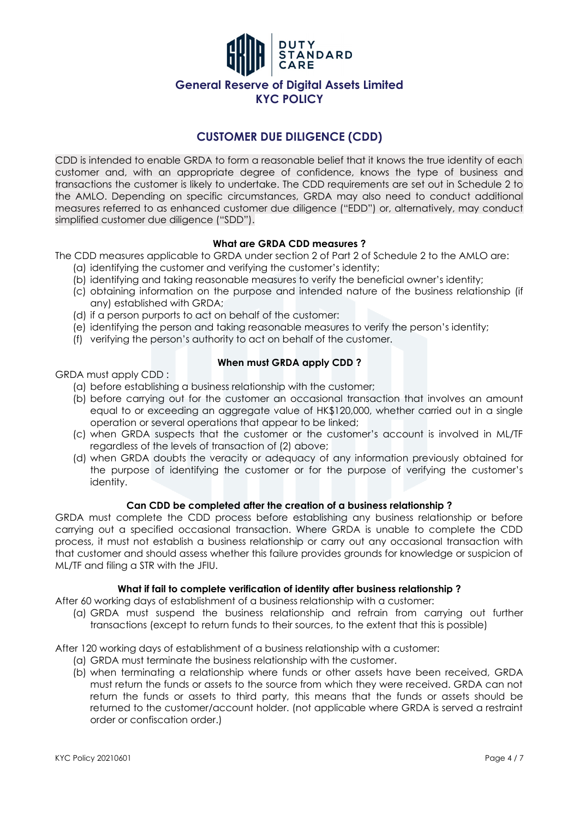

# **CUSTOMER DUE DILIGENCE (CDD)**

CDD is intended to enable GRDA to form a reasonable belief that it knows the true identity of each customer and, with an appropriate degree of confidence, knows the type of business and transactions the customer is likely to undertake. The CDD requirements are set out in Schedule 2 to the AMLO. Depending on specific circumstances, GRDA may also need to conduct additional measures referred to as enhanced customer due diligence ("EDD") or, alternatively, may conduct simplified customer due diligence ("SDD").

### **What are GRDA CDD measures ?**

The CDD measures applicable to GRDA under section 2 of Part 2 of Schedule 2 to the AMLO are:

- (a) identifying the customer and verifying the customer's identity;
- (b) identifying and taking reasonable measures to verify the beneficial owner's identity;
- (c) obtaining information on the purpose and intended nature of the business relationship (if any) established with GRDA;
- (d) if a person purports to act on behalf of the customer:
- (e) identifying the person and taking reasonable measures to verify the person's identity;
- (f) verifying the person's authority to act on behalf of the customer.

### **When must GRDA apply CDD ?**

GRDA must apply CDD :

- (a) before establishing a business relationship with the customer;
- (b) before carrying out for the customer an occasional transaction that involves an amount equal to or exceeding an aggregate value of HK\$120,000, whether carried out in a single operation or several operations that appear to be linked;
- (c) when GRDA suspects that the customer or the customer's account is involved in ML/TF regardless of the levels of transaction of (2) above;
- (d) when GRDA doubts the veracity or adequacy of any information previously obtained for the purpose of identifying the customer or for the purpose of verifying the customer's identity.

### **Can CDD be completed after the creation of a business relationship ?**

GRDA must complete the CDD process before establishing any business relationship or before carrying out a specified occasional transaction. Where GRDA is unable to complete the CDD process, it must not establish a business relationship or carry out any occasional transaction with that customer and should assess whether this failure provides grounds for knowledge or suspicion of ML/TF and filing a STR with the JFIU.

### **What if fail to complete verification of identity after business relationship ?**

After 60 working days of establishment of a business relationship with a customer:

(a) GRDA must suspend the business relationship and refrain from carrying out further transactions (except to return funds to their sources, to the extent that this is possible)

After 120 working days of establishment of a business relationship with a customer:

- (a) GRDA must terminate the business relationship with the customer.
- (b) when terminating a relationship where funds or other assets have been received, GRDA must return the funds or assets to the source from which they were received. GRDA can not return the funds or assets to third party, this means that the funds or assets should be returned to the customer/account holder. (not applicable where GRDA is served a restraint order or confiscation order.)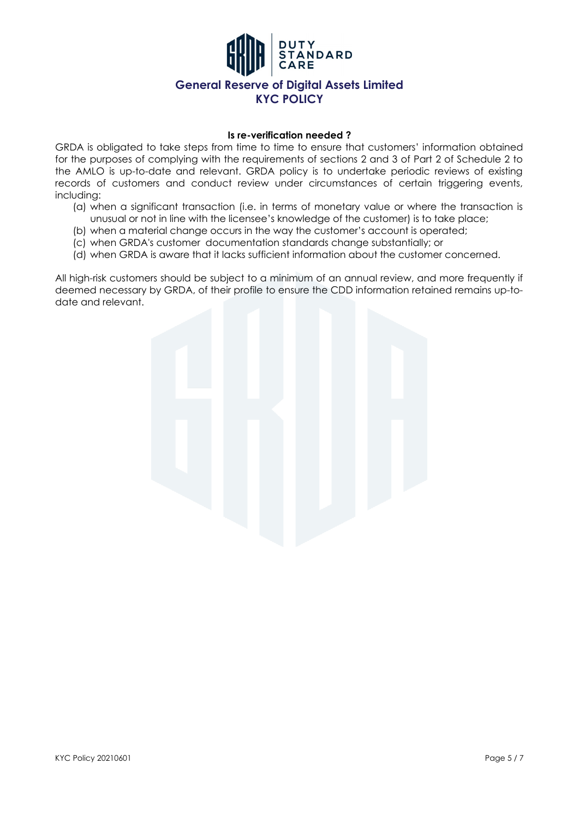

#### **Is re-verification needed ?**

GRDA is obligated to take steps from time to time to ensure that customers' information obtained for the purposes of complying with the requirements of sections 2 and 3 of Part 2 of Schedule 2 to the AMLO is up-to-date and relevant. GRDA policy is to undertake periodic reviews of existing records of customers and conduct review under circumstances of certain triggering events, including:

- (a) when a significant transaction (i.e. in terms of monetary value or where the transaction is unusual or not in line with the licensee's knowledge of the customer) is to take place;
- (b) when a material change occurs in the way the customer's account is operated;
- (c) when GRDA's customer documentation standards change substantially; or
- (d) when GRDA is aware that it lacks sufficient information about the customer concerned.

All high-risk customers should be subject to a minimum of an annual review, and more frequently if deemed necessary by GRDA, of their profile to ensure the CDD information retained remains up-todate and relevant.

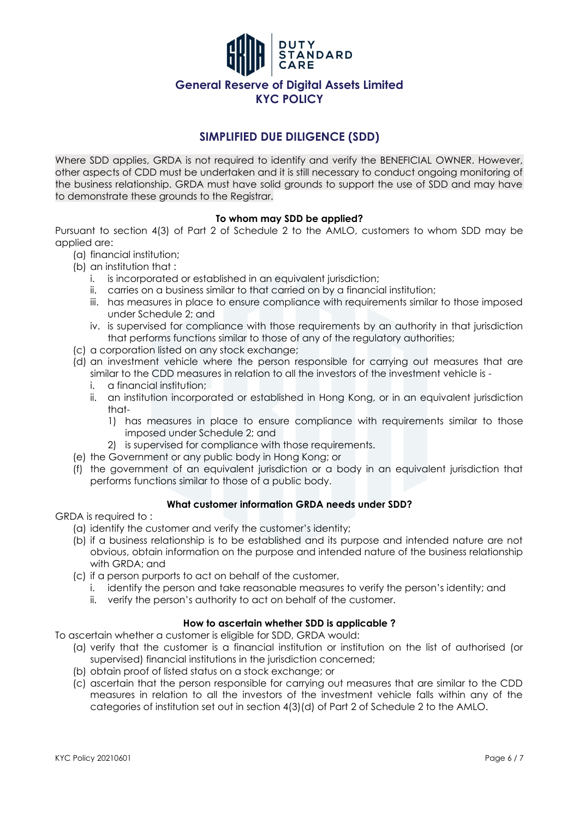

## **SIMPLIFIED DUE DILIGENCE (SDD)**

Where SDD applies, GRDA is not required to identify and verify the BENEFICIAL OWNER. However, other aspects of CDD must be undertaken and it is still necessary to conduct ongoing monitoring of the business relationship. GRDA must have solid grounds to support the use of SDD and may have to demonstrate these grounds to the Registrar.

## **To whom may SDD be applied?**

Pursuant to section 4(3) of Part 2 of Schedule 2 to the AMLO, customers to whom SDD may be applied are:

- (a) financial institution;
- (b) an institution that :
	- i. is incorporated or established in an equivalent jurisdiction;
	- ii. carries on a business similar to that carried on by a financial institution;
	- iii. has measures in place to ensure compliance with requirements similar to those imposed under Schedule 2; and
	- iv. is supervised for compliance with those requirements by an authority in that jurisdiction that performs functions similar to those of any of the regulatory authorities;
- (c) a corporation listed on any stock exchange;
- (d) an investment vehicle where the person responsible for carrying out measures that are similar to the CDD measures in relation to all the investors of the investment vehicle is
	- i. a financial institution;
	- ii. an institution incorporated or established in Hong Kong, or in an equivalent jurisdiction that-
		- 1) has measures in place to ensure compliance with requirements similar to those imposed under Schedule 2; and
		- 2) is supervised for compliance with those requirements.
- (e) the Government or any public body in Hong Kong; or
- (f) the government of an equivalent jurisdiction or a body in an equivalent jurisdiction that performs functions similar to those of a public body.

### **What customer information GRDA needs under SDD?**

GRDA is required to :

- (a) identify the customer and verify the customer's identity;
- (b) if a business relationship is to be established and its purpose and intended nature are not obvious, obtain information on the purpose and intended nature of the business relationship with GRDA; and
- (c) if a person purports to act on behalf of the customer,
	- i. identify the person and take reasonable measures to verify the person's identity; and
	- ii. verify the person's authority to act on behalf of the customer.

## **How to ascertain whether SDD is applicable ?**

To ascertain whether a customer is eligible for SDD, GRDA would:

- (a) verify that the customer is a financial institution or institution on the list of authorised (or supervised) financial institutions in the jurisdiction concerned;
- (b) obtain proof of listed status on a stock exchange; or
- (c) ascertain that the person responsible for carrying out measures that are similar to the CDD measures in relation to all the investors of the investment vehicle falls within any of the categories of institution set out in section 4(3)(d) of Part 2 of Schedule 2 to the AMLO.